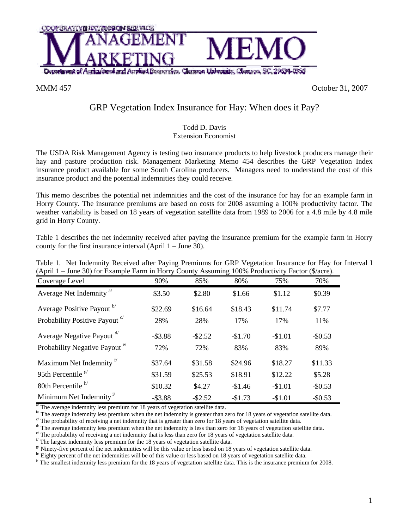

MMM 457 October 31, 2007

## GRP Vegetation Index Insurance for Hay: When does it Pay?

## Todd D. Davis Extension Economist

The USDA Risk Management Agency is testing two insurance products to help livestock producers manage their hay and pasture production risk. Management Marketing Memo 454 describes the GRP Vegetation Index insurance product available for some South Carolina producers. Managers need to understand the cost of this insurance product and the potential indemnities they could receive.

This memo describes the potential net indemnities and the cost of the insurance for hay for an example farm in Horry County. The insurance premiums are based on costs for 2008 assuming a 100% productivity factor. The weather variability is based on 18 years of vegetation satellite data from 1989 to 2006 for a 4.8 mile by 4.8 mile grid in Horry County.

Table 1 describes the net indemnity received after paying the insurance premium for the example farm in Horry county for the first insurance interval (April 1 – June 30).

| (April 1 – June 30) for Example Farm in Horry County Assuming 100% Productivity Factor (\$/acre). |            |            |          |          |          |  |
|---------------------------------------------------------------------------------------------------|------------|------------|----------|----------|----------|--|
| Coverage Level                                                                                    | 90%        | 85%        | 80%      | 75%      | 70%      |  |
| Average Net Indemnity <sup>a</sup>                                                                | \$3.50     | \$2.80     | \$1.66   | \$1.12   | \$0.39   |  |
| Average Positive Payout b                                                                         | \$22.69    | \$16.64    | \$18.43  | \$11.74  | \$7.77   |  |
| Probability Positive Payout <sup>c</sup>                                                          | 28%        | 28%        | 17%      | 17%      | 11%      |  |
| Average Negative Payout d'                                                                        | $-$ \$3.88 | $-$ \$2.52 | $-$1.70$ | $-$1.01$ | $-$0.53$ |  |
| Probability Negative Payout <sup>e</sup>                                                          | 72%        | 72%        | 83%      | 83%      | 89%      |  |
| Maximum Net Indemnity <sup>17</sup>                                                               | \$37.64    | \$31.58    | \$24.96  | \$18.27  | \$11.33  |  |
| 95th Percentile $\frac{g}{g}$                                                                     | \$31.59    | \$25.53    | \$18.91  | \$12.22  | \$5.28   |  |
| 80th Percentile $h$ <sup><math>h</math></sup>                                                     | \$10.32    | \$4.27     | $-$1.46$ | $-$1.01$ | $-$0.53$ |  |
| Minimum Net Indemnity <sup><math>1</math></sup>                                                   | $-$ \$3.88 | $-$ \$2.52 | $-$1.73$ | $-$1.01$ | $-$0.53$ |  |

Table 1. Net Indemnity Received after Paying Premiums for GRP Vegetation Insurance for Hay for Interval I (April 1 – June 30) for Example Farm in Horry County Assuming 100% Productivity Factor (\$/acre).

 $\frac{a}{b}$ . The average indemnity less premium for 18 years of vegetation satellite data.

 $\frac{b'}{c}$  The average indemnity less premium when the net indemnity is greater than zero for 18 years of vegetation satellite data.<br>
<sup>c</sup> The probability of receiving a net indemnity that is greater than zero for 18 years

 $d$  The average indemnity less premium when the net indemnity is less than zero for 18 years of vegetation satellite data.

 $e^{i}$  The probability of receiving a net indemnity that is less than zero for 18 years of vegetation satellite data.

 $\beta$ <sup>f</sup> The largest indemnity less premium for the 18 years of vegetation satellite data.

 $\frac{g}{h}$  Ninety-five percent of the net indemnities will be this value or less based on 18 years of vegetation satellite data.<br>
<sup>h</sup> Eighty percent of the net indemnities will be of this value or less based on 18 years of

The smallest indemnity less premium for the 18 years of vegetation satellite data. This is the insurance premium for 2008.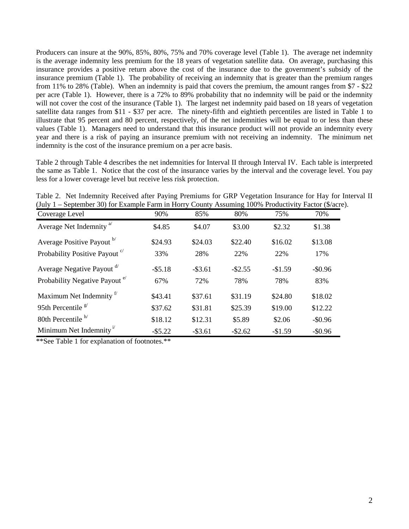Producers can insure at the 90%, 85%, 80%, 75% and 70% coverage level (Table 1). The average net indemnity is the average indemnity less premium for the 18 years of vegetation satellite data. On average, purchasing this insurance provides a positive return above the cost of the insurance due to the government's subsidy of the insurance premium (Table 1). The probability of receiving an indemnity that is greater than the premium ranges from 11% to 28% (Table). When an indemnity is paid that covers the premium, the amount ranges from \$7 - \$22 per acre (Table 1). However, there is a 72% to 89% probability that no indemnity will be paid or the indemnity will not cover the cost of the insurance (Table 1). The largest net indemnity paid based on 18 years of vegetation satellite data ranges from \$11 - \$37 per acre. The ninety-fifth and eightieth percentiles are listed in Table 1 to illustrate that 95 percent and 80 percent, respectively, of the net indemnities will be equal to or less than these values (Table 1). Managers need to understand that this insurance product will not provide an indemnity every year and there is a risk of paying an insurance premium with not receiving an indemnity. The minimum net indemnity is the cost of the insurance premium on a per acre basis.

Table 2 through Table 4 describes the net indemnities for Interval II through Interval IV. Each table is interpreted the same as Table 1. Notice that the cost of the insurance varies by the interval and the coverage level. You pay less for a lower coverage level but receive less risk protection.

| (July 1 – September 30) for Example Farm in Horry County Assuming 100% Productivity Factor (\$/acre). |            |            |            |          |          |  |  |
|-------------------------------------------------------------------------------------------------------|------------|------------|------------|----------|----------|--|--|
| Coverage Level                                                                                        | 90%        | 85%        | 80%        | 75%      | 70%      |  |  |
| Average Net Indemnity <sup>a</sup>                                                                    | \$4.85     | \$4.07     | \$3.00     | \$2.32   | \$1.38   |  |  |
| Average Positive Payout b                                                                             | \$24.93    | \$24.03    | \$22.40    | \$16.02  | \$13.08  |  |  |
| Probability Positive Payout <sup>c/</sup>                                                             | 33%        | 28%        | 22%        | 22%      | 17%      |  |  |
| Average Negative Payout d'                                                                            | $-$ \$5.18 | $-$ \$3.61 | $-$ \$2.55 | $-$1.59$ | $-$0.96$ |  |  |
| Probability Negative Payout <sup>e/</sup>                                                             | 67%        | 72%        | 78%        | 78%      | 83%      |  |  |
| Maximum Net Indemnity <sup>f</sup>                                                                    | \$43.41    | \$37.61    | \$31.19    | \$24.80  | \$18.02  |  |  |
| 95th Percentile $\frac{g}{g}$                                                                         | \$37.62    | \$31.81    | \$25.39    | \$19.00  | \$12.22  |  |  |
| 80th Percentile $h$ <sup><math>h</math></sup>                                                         | \$18.12    | \$12.31    | \$5.89     | \$2.06   | $-$0.96$ |  |  |

Minimum Net Indemnity<sup>1</sup> - \$5.22 - \$3.61 - \$2.62 - \$1.59 - \$0.96

Table 2. Net Indemnity Received after Paying Premiums for GRP Vegetation Insurance for Hay for Interval II (July 1 – September 30) for Example Farm in Horry County Assuming 100% Productivity Factor (\$/acre).

\*\*See Table 1 for explanation of footnotes.\*\*